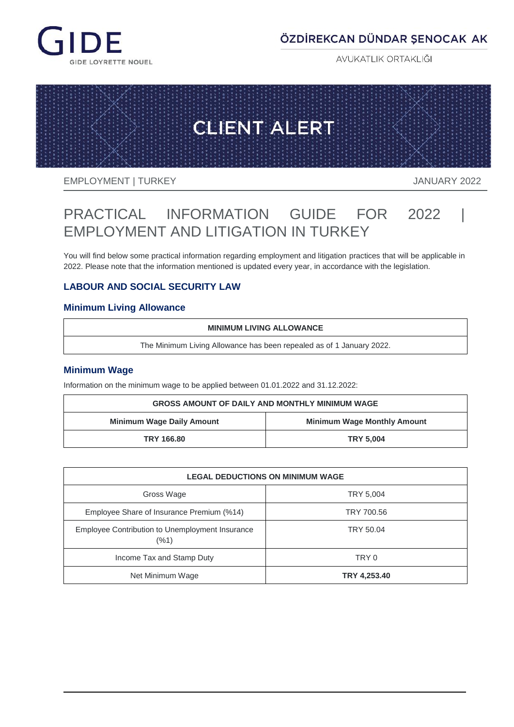

## ÖZDİREKCAN DÜNDAR ŞENOCAK AK

AVUKATLIK ORTAKLIĞI



EMPLOYMENT | TURKEY **International CONTROL** SANDARY 2022

# PRACTICAL INFORMATION GUIDE FOR 2022 | EMPLOYMENT AND LITIGATION IN TURKEY

You will find below some practical information regarding employment and litigation practices that will be applicable in 2022. Please note that the information mentioned is updated every year, in accordance with the legislation.

## **LABOUR AND SOCIAL SECURITY LAW**

## **Minimum Living Allowance**

#### **MINIMUM LIVING ALLOWANCE**

The Minimum Living Allowance has been repealed as of 1 January 2022.

## **Minimum Wage**

Information on the minimum wage to be applied between 01.01.2022 and 31.12.2022:

| <b>GROSS AMOUNT OF DAILY AND MONTHLY MINIMUM WAGE</b>                  |                  |  |  |
|------------------------------------------------------------------------|------------------|--|--|
| <b>Minimum Wage Daily Amount</b><br><b>Minimum Wage Monthly Amount</b> |                  |  |  |
| TRY 166.80                                                             | <b>TRY 5.004</b> |  |  |

| <b>LEGAL DEDUCTIONS ON MINIMUM WAGE</b>                 |              |  |
|---------------------------------------------------------|--------------|--|
| Gross Wage                                              | TRY 5,004    |  |
| Employee Share of Insurance Premium (%14)               | TRY 700.56   |  |
| Employee Contribution to Unemployment Insurance<br>(%1) | TRY 50.04    |  |
| Income Tax and Stamp Duty                               | TRY 0        |  |
| Net Minimum Wage                                        | TRY 4,253.40 |  |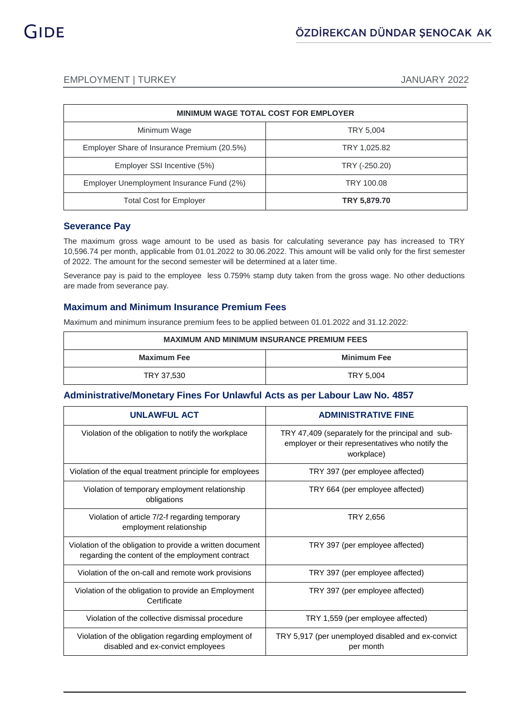| <b>MINIMUM WAGE TOTAL COST FOR EMPLOYER</b> |               |  |
|---------------------------------------------|---------------|--|
| Minimum Wage                                | TRY 5,004     |  |
| Employer Share of Insurance Premium (20.5%) | TRY 1,025.82  |  |
| Employer SSI Incentive (5%)                 | TRY (-250.20) |  |
| Employer Unemployment Insurance Fund (2%)   | TRY 100.08    |  |
| <b>Total Cost for Employer</b>              | TRY 5,879.70  |  |

#### **Severance Pay**

The maximum gross wage amount to be used as basis for calculating severance pay has increased to TRY 10,596.74 per month, applicable from 01.01.2022 to 30.06.2022. This amount will be valid only for the first semester of 2022. The amount for the second semester will be determined at a later time.

Severance pay is paid to the employee less 0.759% stamp duty taken from the gross wage. No other deductions are made from severance pay.

## **Maximum and Minimum Insurance Premium Fees**

Maximum and minimum insurance premium fees to be applied between 01.01.2022 and 31.12.2022:

| <b>MAXIMUM AND MINIMUM INSURANCE PREMIUM FEES</b> |                    |  |
|---------------------------------------------------|--------------------|--|
| <b>Maximum Fee</b>                                | <b>Minimum Fee</b> |  |
| TRY 37,530                                        | TRY 5,004          |  |

## **Administrative/Monetary Fines For Unlawful Acts as per Labour Law No. 4857**

| <b>UNLAWFUL ACT</b>                                                                                           | <b>ADMINISTRATIVE FINE</b>                                                                                          |  |
|---------------------------------------------------------------------------------------------------------------|---------------------------------------------------------------------------------------------------------------------|--|
| Violation of the obligation to notify the workplace                                                           | TRY 47,409 (separately for the principal and sub-<br>employer or their representatives who notify the<br>workplace) |  |
| Violation of the equal treatment principle for employees                                                      | TRY 397 (per employee affected)                                                                                     |  |
| Violation of temporary employment relationship<br>obligations                                                 | TRY 664 (per employee affected)                                                                                     |  |
| Violation of article 7/2-f regarding temporary<br>employment relationship                                     | TRY 2,656                                                                                                           |  |
| Violation of the obligation to provide a written document<br>regarding the content of the employment contract | TRY 397 (per employee affected)                                                                                     |  |
| Violation of the on-call and remote work provisions                                                           | TRY 397 (per employee affected)                                                                                     |  |
| Violation of the obligation to provide an Employment<br>Certificate                                           | TRY 397 (per employee affected)                                                                                     |  |
| Violation of the collective dismissal procedure                                                               | TRY 1,559 (per employee affected)                                                                                   |  |
| Violation of the obligation regarding employment of<br>disabled and ex-convict employees                      | TRY 5,917 (per unemployed disabled and ex-convict<br>per month                                                      |  |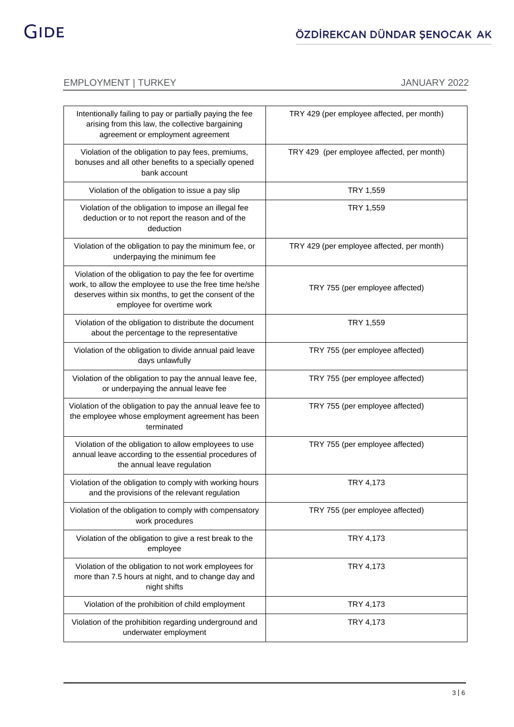## EMPLOYMENT | TURKEY | TANGLE | TANGLE | TANGLE | TANGLE | TANGLE | TANGLE | TANGLE | TANGLE | TANGLE | TANGLE

| Intentionally failing to pay or partially paying the fee<br>arising from this law, the collective bargaining<br>agreement or employment agreement                                                         | TRY 429 (per employee affected, per month) |
|-----------------------------------------------------------------------------------------------------------------------------------------------------------------------------------------------------------|--------------------------------------------|
| Violation of the obligation to pay fees, premiums,<br>bonuses and all other benefits to a specially opened<br>bank account                                                                                | TRY 429 (per employee affected, per month) |
| Violation of the obligation to issue a pay slip                                                                                                                                                           | TRY 1,559                                  |
| Violation of the obligation to impose an illegal fee<br>deduction or to not report the reason and of the<br>deduction                                                                                     | TRY 1,559                                  |
| Violation of the obligation to pay the minimum fee, or<br>underpaying the minimum fee                                                                                                                     | TRY 429 (per employee affected, per month) |
| Violation of the obligation to pay the fee for overtime<br>work, to allow the employee to use the free time he/she<br>deserves within six months, to get the consent of the<br>employee for overtime work | TRY 755 (per employee affected)            |
| Violation of the obligation to distribute the document<br>about the percentage to the representative                                                                                                      | TRY 1,559                                  |
| Violation of the obligation to divide annual paid leave<br>days unlawfully                                                                                                                                | TRY 755 (per employee affected)            |
| Violation of the obligation to pay the annual leave fee,<br>or underpaying the annual leave fee                                                                                                           | TRY 755 (per employee affected)            |
| Violation of the obligation to pay the annual leave fee to<br>the employee whose employment agreement has been<br>terminated                                                                              | TRY 755 (per employee affected)            |
| Violation of the obligation to allow employees to use<br>annual leave according to the essential procedures of<br>the annual leave regulation                                                             | TRY 755 (per employee affected)            |
| Violation of the obligation to comply with working hours<br>and the provisions of the relevant regulation                                                                                                 | <b>TRY 4.173</b>                           |
| Violation of the obligation to comply with compensatory<br>work procedures                                                                                                                                | TRY 755 (per employee affected)            |
| Violation of the obligation to give a rest break to the<br>employee                                                                                                                                       | TRY 4,173                                  |
| Violation of the obligation to not work employees for<br>more than 7.5 hours at night, and to change day and<br>night shifts                                                                              | TRY 4,173                                  |
| Violation of the prohibition of child employment                                                                                                                                                          | TRY 4,173                                  |
| Violation of the prohibition regarding underground and<br>underwater employment                                                                                                                           | TRY 4,173                                  |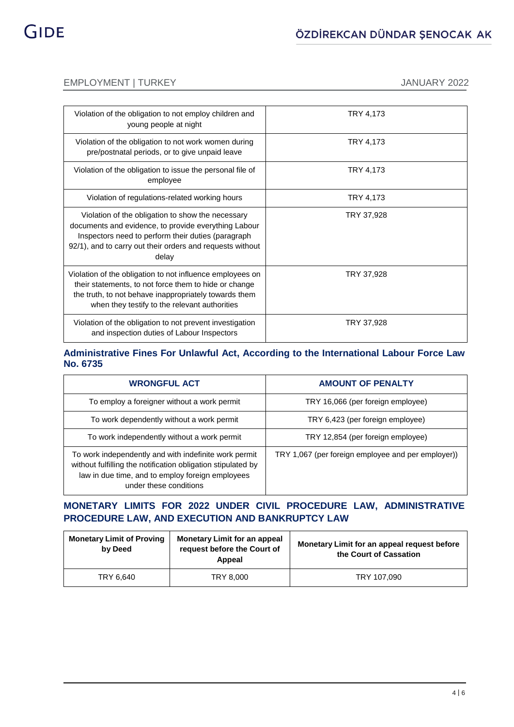## EMPLOYMENT | TURKEY | TERMINE | TERMINE | TERMINE | TERMINE | TERMINE | TERMINE | TERMINE | TERMINE | TERMINE

| Violation of the obligation to not employ children and<br>young people at night                                                                                                                                                       | TRY 4,173  |
|---------------------------------------------------------------------------------------------------------------------------------------------------------------------------------------------------------------------------------------|------------|
| Violation of the obligation to not work women during<br>pre/postnatal periods, or to give unpaid leave                                                                                                                                | TRY 4,173  |
| Violation of the obligation to issue the personal file of<br>employee                                                                                                                                                                 | TRY 4,173  |
| Violation of regulations-related working hours                                                                                                                                                                                        | TRY 4,173  |
| Violation of the obligation to show the necessary<br>documents and evidence, to provide everything Labour<br>Inspectors need to perform their duties (paragraph<br>92/1), and to carry out their orders and requests without<br>delay | TRY 37,928 |
| Violation of the obligation to not influence employees on<br>their statements, to not force them to hide or change<br>the truth, to not behave inappropriately towards them<br>when they testify to the relevant authorities          | TRY 37,928 |
| Violation of the obligation to not prevent investigation<br>and inspection duties of Labour Inspectors                                                                                                                                | TRY 37,928 |

## **Administrative Fines For Unlawful Act, According to the International Labour Force Law No. 6735**

| <b>WRONGFUL ACT</b>                                                                                                                                                                                 | <b>AMOUNT OF PENALTY</b>                           |  |
|-----------------------------------------------------------------------------------------------------------------------------------------------------------------------------------------------------|----------------------------------------------------|--|
| To employ a foreigner without a work permit                                                                                                                                                         | TRY 16,066 (per foreign employee)                  |  |
| To work dependently without a work permit                                                                                                                                                           | TRY 6,423 (per foreign employee)                   |  |
| To work independently without a work permit                                                                                                                                                         | TRY 12,854 (per foreign employee)                  |  |
| To work independently and with indefinite work permit<br>without fulfilling the notification obligation stipulated by<br>law in due time, and to employ foreign employees<br>under these conditions | TRY 1,067 (per foreign employee and per employer)) |  |

## **MONETARY LIMITS FOR 2022 UNDER CIVIL PROCEDURE LAW, ADMINISTRATIVE PROCEDURE LAW, AND EXECUTION AND BANKRUPTCY LAW**

| <b>Monetary Limit of Proving</b><br>by Deed | <b>Monetary Limit for an appeal</b><br>request before the Court of<br>Appeal | Monetary Limit for an appeal request before<br>the Court of Cassation |
|---------------------------------------------|------------------------------------------------------------------------------|-----------------------------------------------------------------------|
| TRY 6.640                                   | TRY 8.000                                                                    | TRY 107,090                                                           |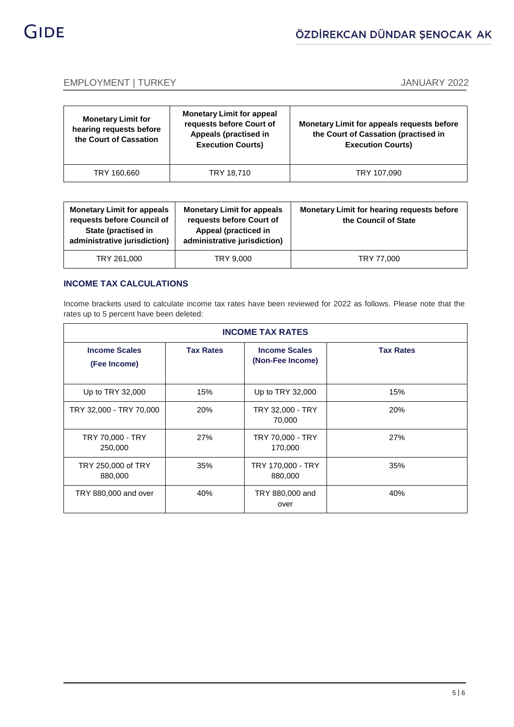

## EMPLOYMENT | TURKEY | TERMINE | TERMINE | TERMINE | TERMINE | TERMINE | TERMINE | TERMINE | TERMINE | TERMINE

| <b>Monetary Limit for</b><br>hearing requests before<br>the Court of Cassation | <b>Monetary Limit for appeal</b><br>requests before Court of<br>Appeals (practised in<br><b>Execution Courts)</b> | <b>Monetary Limit for appeals requests before</b><br>the Court of Cassation (practised in<br><b>Execution Courts)</b> |
|--------------------------------------------------------------------------------|-------------------------------------------------------------------------------------------------------------------|-----------------------------------------------------------------------------------------------------------------------|
| TRY 160,660                                                                    | TRY 18,710                                                                                                        | TRY 107.090                                                                                                           |

| <b>Monetary Limit for appeals</b><br>requests before Council of<br>State (practised in<br>administrative jurisdiction) | <b>Monetary Limit for appeals</b><br>requests before Court of<br>Appeal (practiced in<br>administrative jurisdiction) | Monetary Limit for hearing requests before<br>the Council of State |
|------------------------------------------------------------------------------------------------------------------------|-----------------------------------------------------------------------------------------------------------------------|--------------------------------------------------------------------|
| TRY 261,000                                                                                                            | TRY 9,000                                                                                                             | TRY 77,000                                                         |

### **INCOME TAX CALCULATIONS**

Income brackets used to calculate income tax rates have been reviewed for 2022 as follows. Please note that the rates up to 5 percent have been deleted:

| <b>INCOME TAX RATES</b>              |                  |                                          |                  |
|--------------------------------------|------------------|------------------------------------------|------------------|
| <b>Income Scales</b><br>(Fee Income) | <b>Tax Rates</b> | <b>Income Scales</b><br>(Non-Fee Income) | <b>Tax Rates</b> |
| Up to TRY 32,000                     | 15%              | Up to TRY 32,000                         | 15%              |
| TRY 32,000 - TRY 70,000              | 20%              | TRY 32,000 - TRY<br>70,000               | 20%              |
| TRY 70,000 - TRY<br>250,000          | 27%              | TRY 70,000 - TRY<br>170,000              | 27%              |
| TRY 250,000 of TRY<br>880,000        | 35%              | TRY 170,000 - TRY<br>880,000             | 35%              |
| TRY 880,000 and over                 | 40%              | TRY 880,000 and<br>over                  | 40%              |